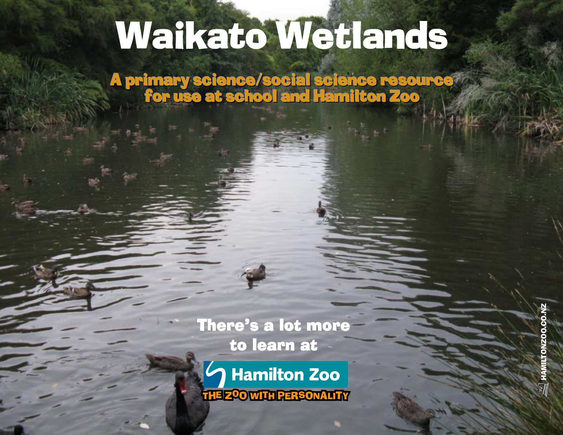# Waikato Wetlands

A primary science/social science resource for use at school and Hamilton Zoo

There's a lot more to learn at There's a lot more<br>to learn at<br>Communities of the Hamilton Zoo

į

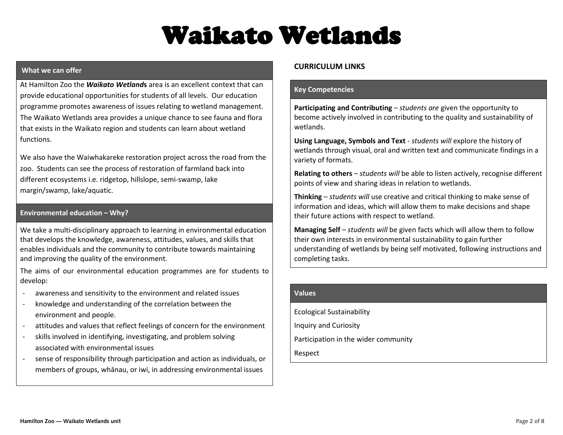## Waikato Wetlands

#### **What we can offer**

At Hamilton Zoo the *Waikato Wetland***s** area is an excellent context that can provide educational opportunities for students of all levels. Our education programme promotes awareness of issues relating to wetland management. The Waikato Wetlands area provides a unique chance to see fauna and flora that exists in the Waikato region and students can learn about wetland functions.

We also have the Waiwhakareke restoration project across the road from the zoo. Students can see the process of restoration of farmland back into different ecosystems i.e. ridgetop, hillslope, semi-swamp, lake margin/swamp, lake/aquatic.

#### **Environmental education – Why?**

We take a multi-disciplinary approach to learning in environmental education that develops the knowledge, awareness, attitudes, values, and skills that enables individuals and the community to contribute towards maintaining and improving the quality of the environment.

The aims of our environmental education programmes are for students to develop:

- awareness and sensitivity to the environment and related issues
- knowledge and understanding of the correlation between the environment and people.
- attitudes and values that reflect feelings of concern for the environment
- skills involved in identifying, investigating, and problem solving associated with environmental issues
- sense of responsibility through participation and action as individuals, or members of groups, whānau, or iwi, in addressing environmental issues

#### **CURRICULUM LINKS**

#### **Key Competencies**

**Participating and Contributing** – *students are* given the opportunity to become actively involved in contributing to the quality and sustainability of wetlands.

**Using Language, Symbols and Text** - *students will* explore the history of wetlands through visual, oral and written text and communicate findings in a variety of formats.

**Relating to others** – *students will* be able to listen actively, recognise different points of view and sharing ideas in relation to wetlands.

**Thinking** – *students will* use creative and critical thinking to make sense of information and ideas, which will allow them to make decisions and shape their future actions with respect to wetland.

**Managing Self** – *students will* be given facts which will allow them to follow their own interests in environmental sustainability to gain further understanding of wetlands by being self motivated, following instructions and completing tasks.

#### **Values**

Ecological Sustainability Inquiry and Curiosity Participation in the wider community Respect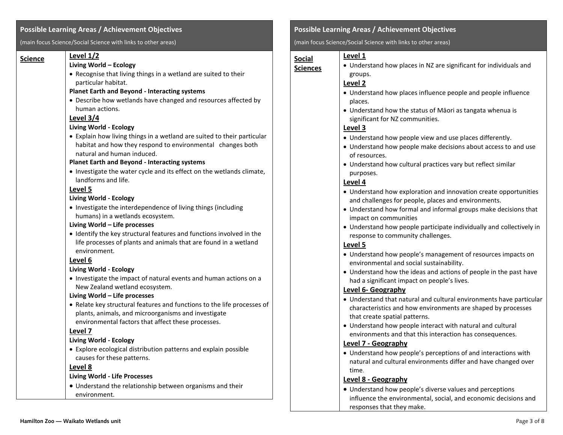#### **Possible Learning Areas / Achievement Objectives**

(main focus Science/Social Science with links to other areas)

| <u>Science</u> | Level $1/2$                                                             |
|----------------|-------------------------------------------------------------------------|
|                | Living World - Ecology                                                  |
|                | • Recognise that living things in a wetland are suited to their         |
|                | particular habitat.                                                     |
|                | <b>Planet Earth and Beyond - Interacting systems</b>                    |
|                | • Describe how wetlands have changed and resources affected by          |
|                | human actions.                                                          |
|                | Level 3/4                                                               |
|                | <b>Living World - Ecology</b>                                           |
|                | • Explain how living things in a wetland are suited to their particular |
|                | habitat and how they respond to environmental changes both              |
|                | natural and human induced.                                              |
|                | <b>Planet Earth and Beyond - Interacting systems</b>                    |
|                | • Investigate the water cycle and its effect on the wetlands climate,   |
|                | landforms and life.                                                     |
|                | Level 5                                                                 |
|                | Living World - Ecology                                                  |
|                | • Investigate the interdependence of living things (including           |
|                | humans) in a wetlands ecosystem.                                        |
|                | Living World - Life processes                                           |
|                | • Identify the key structural features and functions involved in the    |
|                | life processes of plants and animals that are found in a wetland        |
|                | environment.                                                            |
|                | Level 6                                                                 |
|                | <b>Living World - Ecology</b>                                           |
|                | • Investigate the impact of natural events and human actions on a       |
|                | New Zealand wetland ecosystem.                                          |
|                | Living World – Life processes                                           |
|                | • Relate key structural features and functions to the life processes of |
|                | plants, animals, and microorganisms and investigate                     |
|                | environmental factors that affect these processes.                      |
|                | Level 7                                                                 |
|                | Living World - Ecology                                                  |
|                | • Explore ecological distribution patterns and explain possible         |
|                | causes for these patterns.                                              |
|                | Level 8                                                                 |
|                | <b>Living World - Life Processes</b>                                    |
|                | • Understand the relationship between organisms and their               |
|                | environment.                                                            |

#### **Possible Learning Areas / Achievement Objectives**

(main focus Science/Social Science with links to other areas)

#### **Level 1**

**Sciences**

**Social** 

 Understand how places in NZ are significant for individuals and groups.

#### **Level 2**

- Understand how places influence people and people influence places.
- Understand how the status of Māori as tangata whenua is significant for NZ communities.

#### **Level 3**

- Understand how people view and use places differently.
- Understand how people make decisions about access to and use of resources.
- Understand how cultural practices vary but reflect similar purposes.

#### **Level 4**

- Understand how exploration and innovation create opportunities and challenges for people, places and environments.
- Understand how formal and informal groups make decisions that impact on communities
- Understand how people participate individually and collectively in response to community challenges.

#### **Level 5**

- Understand how people's management of resources impacts on environmental and social sustainability.
- Understand how the ideas and actions of people in the past have had a significant impact on people's lives.

#### **Level 6- Geography**

- Understand that natural and cultural environments have particular characteristics and how environments are shaped by processes that create spatial patterns.
- Understand how people interact with natural and cultural environments and that this interaction has consequences.

#### **Level 7 - Geography**

 Understand how people's perceptions of and interactions with natural and cultural environments differ and have changed over time.

#### **Level 8 - Geography**

 Understand how people's diverse values and perceptions influence the environmental, social, and economic decisions and responses that they make.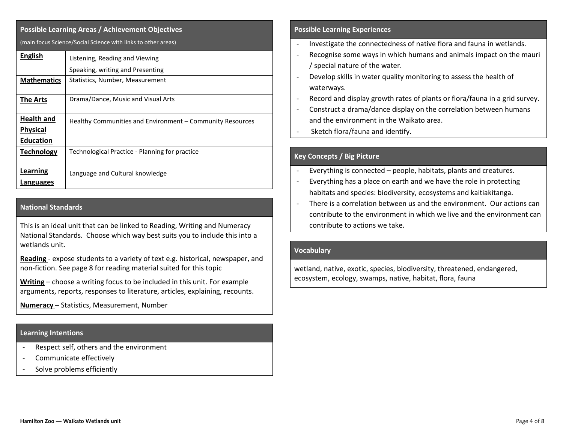| <b>Possible Learning Areas / Achievement Objectives</b>       |                                                           |  |  |  |
|---------------------------------------------------------------|-----------------------------------------------------------|--|--|--|
| (main focus Science/Social Science with links to other areas) |                                                           |  |  |  |
| <b>English</b>                                                | Listening, Reading and Viewing                            |  |  |  |
|                                                               | Speaking, writing and Presenting                          |  |  |  |
| <b>Mathematics</b>                                            | Statistics, Number, Measurement                           |  |  |  |
| <b>The Arts</b>                                               | Drama/Dance, Music and Visual Arts                        |  |  |  |
| <b>Health and</b>                                             | Healthy Communities and Environment – Community Resources |  |  |  |
| <b>Physical</b><br><b>Education</b>                           |                                                           |  |  |  |
| <b>Technology</b>                                             | Technological Practice - Planning for practice            |  |  |  |
| Learning                                                      | Language and Cultural knowledge                           |  |  |  |
| Languages                                                     |                                                           |  |  |  |

#### **National Standards**

This is an ideal unit that can be linked to Reading, Writing and Numeracy National Standards. Choose which way best suits you to include this into a wetlands unit.

**Reading** - expose students to a variety of text e.g. historical, newspaper, and non-fiction. See page 8 for reading material suited for this topic

**Writing** – choose a writing focus to be included in this unit. For example arguments, reports, responses to literature, articles, explaining, recounts.

**Numeracy** – Statistics, Measurement, Number

#### **Learning Intentions**

- Respect self, others and the environment
- Communicate effectively
- Solve problems efficiently

#### **Possible Learning Experiences**

- Investigate the connectedness of native flora and fauna in wetlands.
- Recognise some ways in which humans and animals impact on the mauri / special nature of the water.
- Develop skills in water quality monitoring to assess the health of waterways.
- Record and display growth rates of plants or flora/fauna in a grid survey.
- Construct a drama/dance display on the correlation between humans and the environment in the Waikato area.
- Sketch flora/fauna and identify.

#### **Key Concepts / Big Picture**

- Everything is connected people, habitats, plants and creatures.
- Everything has a place on earth and we have the role in protecting habitats and species: biodiversity, ecosystems and kaitiakitanga.
- There is a correlation between us and the environment. Our actions can contribute to the environment in which we live and the environment can contribute to actions we take.

#### **Vocabulary**

wetland, native, exotic, species, biodiversity, threatened, endangered, ecosystem, ecology, swamps, native, habitat, flora, fauna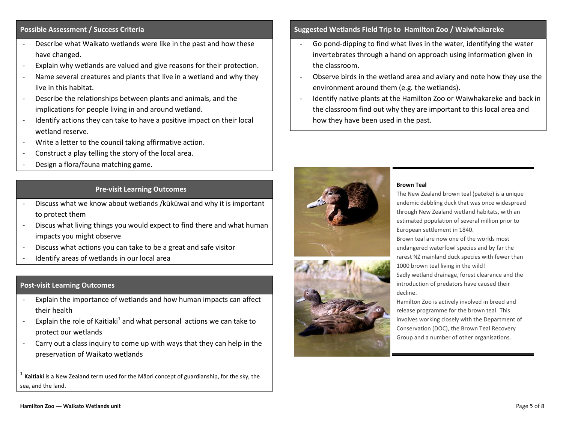#### **Possible Assessment / Success Criteria**

- Describe what Waikato wetlands were like in the past and how these have changed.
- Explain why wetlands are valued and give reasons for their protection.
- Name several creatures and plants that live in a wetland and why they live in this habitat.
- Describe the relationships between plants and animals, and the implications for people living in and around wetland.
- Identify actions they can take to have a positive impact on their local wetland reserve.
- Write a letter to the council taking affirmative action.
- Construct a play telling the story of the local area.
- Design a flora/fauna matching game.

#### **Pre-visit Learning Outcomes**

- Discuss what we know about wetlands /kūkūwai and why it is important to protect them
- Discus what living things you would expect to find there and what human impacts you might observe
- Discuss what actions you can take to be a great and safe visitor
- Identify areas of wetlands in our local area

#### **Post-visit Learning Outcomes**

- Explain the importance of wetlands and how human impacts can affect their health
- Explain the role of Kaitiaki<sup>1</sup> and what personal actions we can take to protect our wetlands
- Carry out a class inquiry to come up with ways that they can help in the preservation of Waikato wetlands

1 **Kaitiaki** is [a New Zealand](http://en.wikipedia.org/wiki/New_Zealand) term used for the [Māori](http://en.wikipedia.org/wiki/M%C4%81ori_people) concept of [guardianship,](http://en.wikipedia.org/wiki/Guardianship) for th[e sky,](http://en.wikipedia.org/wiki/Sky) the [sea,](http://en.wikipedia.org/wiki/Sea) and the land.

#### **Suggested Wetlands Field Trip to Hamilton Zoo / Waiwhakareke**

- Go pond-dipping to find what lives in the water, identifying the water invertebrates through a hand on approach using information given in the classroom.
- Observe birds in the wetland area and aviary and note how they use the environment around them (e.g. the wetlands).
- Identify native plants at the Hamilton Zoo or Waiwhakareke and back in the classroom find out why they are important to this local area and how they have been used in the past.





#### **Brown Teal**

The New Zealand brown teal (pateke) is a unique endemic dabbling duck that was once widespread through New Zealand wetland habitats, with an estimated population of several million prior to European settlement in 1840.

Brown teal are now one of the worlds most endangered waterfowl species and by far the rarest NZ mainland duck species with fewer than 1000 brown teal living in the wild! Sadly wetland drainage, forest clearance and the introduction of predators have caused their

decline.

Hamilton Zoo is actively involved in breed and release programme for the brown teal. This involves working closely with the Department of Conservation (DOC), the Brown Teal Recovery Group and a number of other organisations.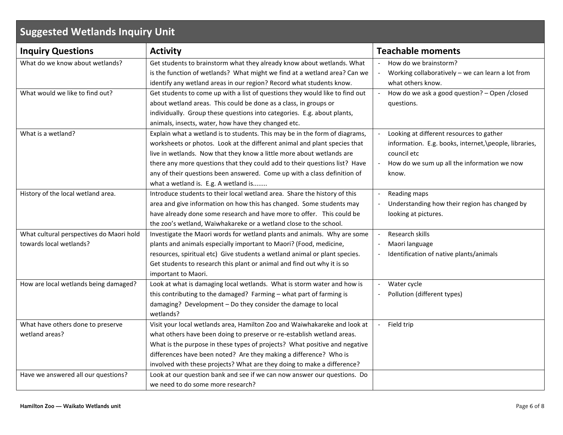| <b>Suggested Wetlands Inquiry Unit</b>                              |                                                                                                                                                                                                                                                                                                                                                                                                                                     |                                                                                                                                                                           |  |  |  |
|---------------------------------------------------------------------|-------------------------------------------------------------------------------------------------------------------------------------------------------------------------------------------------------------------------------------------------------------------------------------------------------------------------------------------------------------------------------------------------------------------------------------|---------------------------------------------------------------------------------------------------------------------------------------------------------------------------|--|--|--|
| <b>Inquiry Questions</b>                                            | <b>Activity</b>                                                                                                                                                                                                                                                                                                                                                                                                                     | <b>Teachable moments</b>                                                                                                                                                  |  |  |  |
| What do we know about wetlands?                                     | Get students to brainstorm what they already know about wetlands. What<br>is the function of wetlands? What might we find at a wetland area? Can we<br>identify any wetland areas in our region? Record what students know.                                                                                                                                                                                                         | How do we brainstorm?<br>Working collaboratively - we can learn a lot from<br>what others know.                                                                           |  |  |  |
| What would we like to find out?                                     | Get students to come up with a list of questions they would like to find out<br>about wetland areas. This could be done as a class, in groups or<br>individually. Group these questions into categories. E.g. about plants,<br>animals, insects, water, how have they changed etc.                                                                                                                                                  | How do we ask a good question? - Open / closed<br>questions.                                                                                                              |  |  |  |
| What is a wetland?                                                  | Explain what a wetland is to students. This may be in the form of diagrams,<br>worksheets or photos. Look at the different animal and plant species that<br>live in wetlands. Now that they know a little more about wetlands are<br>there any more questions that they could add to their questions list? Have<br>any of their questions been answered. Come up with a class definition of<br>what a wetland is. E.g. A wetland is | Looking at different resources to gather<br>information. E.g. books, internet, \people, libraries,<br>council etc<br>How do we sum up all the information we now<br>know. |  |  |  |
| History of the local wetland area.                                  | Introduce students to their local wetland area. Share the history of this<br>area and give information on how this has changed. Some students may<br>have already done some research and have more to offer. This could be<br>the zoo's wetland, Waiwhakareke or a wetland close to the school.                                                                                                                                     | Reading maps<br>Understanding how their region has changed by<br>looking at pictures.                                                                                     |  |  |  |
| What cultural perspectives do Maori hold<br>towards local wetlands? | Investigate the Maori words for wetland plants and animals. Why are some<br>plants and animals especially important to Maori? (Food, medicine,<br>resources, spiritual etc) Give students a wetland animal or plant species.<br>Get students to research this plant or animal and find out why it is so<br>important to Maori.                                                                                                      | Research skills<br>Maori language<br>Identification of native plants/animals                                                                                              |  |  |  |
| How are local wetlands being damaged?                               | Look at what is damaging local wetlands. What is storm water and how is<br>this contributing to the damaged? Farming - what part of farming is<br>damaging? Development - Do they consider the damage to local<br>wetlands?                                                                                                                                                                                                         | Water cycle<br>$\overline{\phantom{a}}$<br>Pollution (different types)<br>$\overline{\phantom{a}}$                                                                        |  |  |  |
| What have others done to preserve<br>wetland areas?                 | Visit your local wetlands area, Hamilton Zoo and Waiwhakareke and look at<br>what others have been doing to preserve or re-establish wetland areas.<br>What is the purpose in these types of projects? What positive and negative<br>differences have been noted? Are they making a difference? Who is<br>involved with these projects? What are they doing to make a difference?                                                   | Field trip                                                                                                                                                                |  |  |  |
| Have we answered all our questions?                                 | Look at our question bank and see if we can now answer our questions. Do<br>we need to do some more research?                                                                                                                                                                                                                                                                                                                       |                                                                                                                                                                           |  |  |  |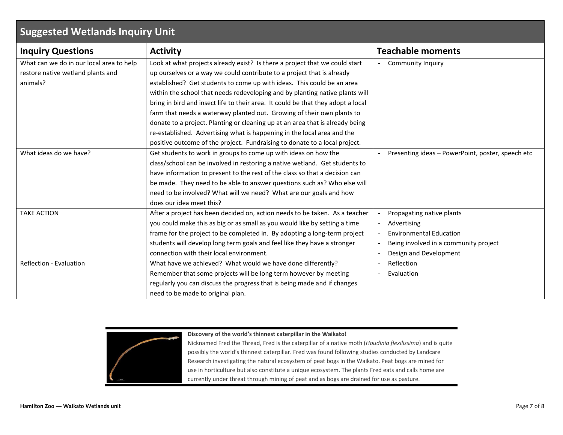### **Suggested Wetlands Inquiry Unit**

| <b>Inquiry Questions</b>                 | <b>Activity</b>                                                                  | <b>Teachable moments</b>                          |
|------------------------------------------|----------------------------------------------------------------------------------|---------------------------------------------------|
| What can we do in our local area to help | Look at what projects already exist? Is there a project that we could start      | <b>Community Inquiry</b>                          |
| restore native wetland plants and        | up ourselves or a way we could contribute to a project that is already           |                                                   |
| animals?                                 | established? Get students to come up with ideas. This could be an area           |                                                   |
|                                          | within the school that needs redeveloping and by planting native plants will     |                                                   |
|                                          | bring in bird and insect life to their area. It could be that they adopt a local |                                                   |
|                                          | farm that needs a waterway planted out. Growing of their own plants to           |                                                   |
|                                          | donate to a project. Planting or cleaning up at an area that is already being    |                                                   |
|                                          | re-established. Advertising what is happening in the local area and the          |                                                   |
|                                          | positive outcome of the project. Fundraising to donate to a local project.       |                                                   |
| What ideas do we have?                   | Get students to work in groups to come up with ideas on how the                  | Presenting ideas - PowerPoint, poster, speech etc |
|                                          | class/school can be involved in restoring a native wetland. Get students to      |                                                   |
|                                          | have information to present to the rest of the class so that a decision can      |                                                   |
|                                          | be made. They need to be able to answer questions such as? Who else will         |                                                   |
|                                          | need to be involved? What will we need? What are our goals and how               |                                                   |
|                                          | does our idea meet this?                                                         |                                                   |
| <b>TAKE ACTION</b>                       | After a project has been decided on, action needs to be taken. As a teacher      | Propagating native plants                         |
|                                          | you could make this as big or as small as you would like by setting a time       | Advertising                                       |
|                                          | frame for the project to be completed in. By adopting a long-term project        | <b>Environmental Education</b>                    |
|                                          | students will develop long term goals and feel like they have a stronger         | Being involved in a community project             |
|                                          | connection with their local environment.                                         | Design and Development                            |
| Reflection - Evaluation                  | What have we achieved? What would we have done differently?                      | Reflection                                        |
|                                          | Remember that some projects will be long term however by meeting                 | Evaluation                                        |
|                                          | regularly you can discuss the progress that is being made and if changes         |                                                   |
|                                          | need to be made to original plan.                                                |                                                   |

**Discovery of the world's thinnest caterpillar in the Waikato!**

Nicknamed Fred the Thread, Fred is the caterpillar of a native moth (*Houdinia flexilissima*) and is quite possibly the world's thinnest caterpillar. Fred was found following studies conducted by Landcare Research investigating the natural ecosystem of peat bogs in the Waikato. Peat bogs are mined for use in horticulture but also constitute a unique ecosystem. The plants Fred eats and calls home are currently under threat through mining of peat and as bogs are drained for use as pasture.